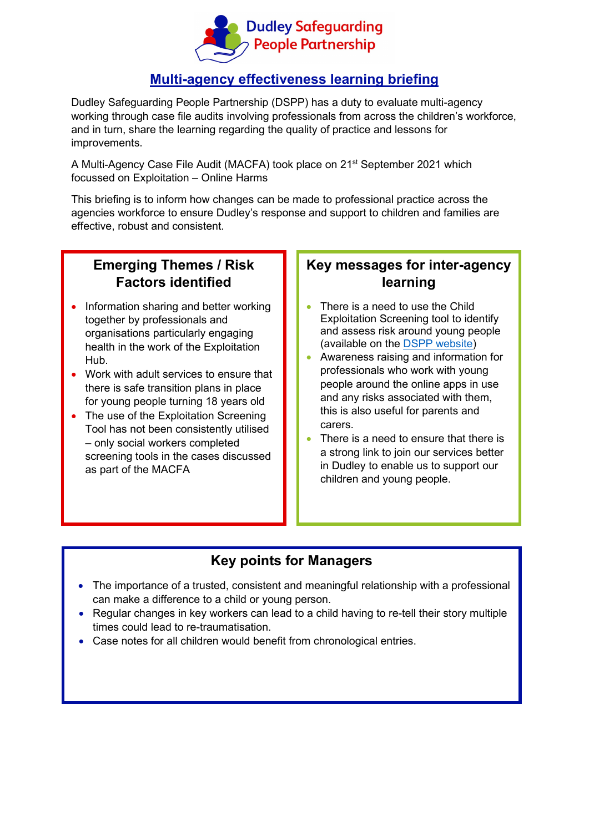

#### **Multi-agency effectiveness learning briefing**

Dudley Safeguarding People Partnership (DSPP) has a duty to evaluate multi-agency working through case file audits involving professionals from across the children's workforce, and in turn, share the learning regarding the quality of practice and lessons for improvements.

A Multi-Agency Case File Audit (MACFA) took place on 21st September 2021 which focussed on Exploitation – Online Harms

This briefing is to inform how changes can be made to professional practice across the agencies workforce to ensure Dudley's response and support to children and families are effective, robust and consistent.

# **Emerging Themes / Risk Factors identified**

- Information sharing and better working together by professionals and organisations particularly engaging health in the work of the Exploitation Hub.
- Work with adult services to ensure that there is safe transition plans in place for young people turning 18 years old
- The use of the Exploitation Screening Tool has not been consistently utilised – only social workers completed screening tools in the cases discussed as part of the MACFA

## **Key messages for inter-agency learning**

- There is a need to use the Child Exploitation Screening tool to identify and assess risk around young people (available on the [DSPP website\)](https://safeguarding.dudley.gov.uk/safeguarding/child/work-with-children-young-people/child-exploitation/)
- Awareness raising and information for professionals who work with young people around the online apps in use and any risks associated with them, this is also useful for parents and carers.
- There is a need to ensure that there is a strong link to join our services better in Dudley to enable us to support our children and young people.

### **Key points for Managers**

- The importance of a trusted, consistent and meaningful relationship with a professional can make a difference to a child or young person.
- Regular changes in key workers can lead to a child having to re-tell their story multiple times could lead to re-traumatisation.
- Case notes for all children would benefit from chronological entries.